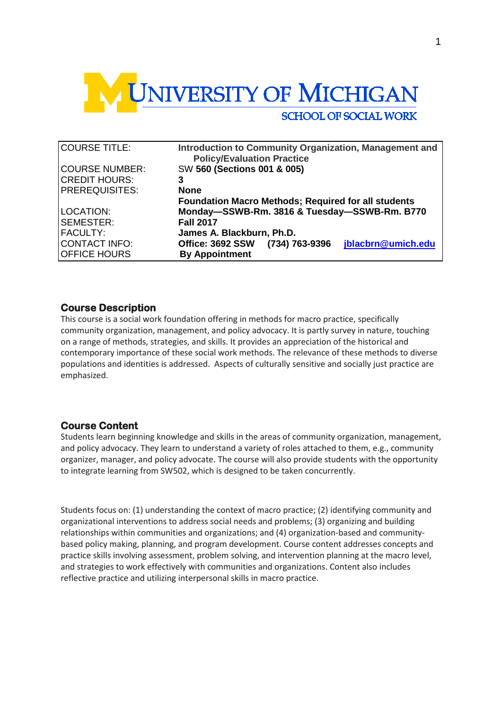

| COURSE TITLE:         | Introduction to Community Organization, Management and<br><b>Policy/Evaluation Practice</b> |  |  |  |  |  |
|-----------------------|---------------------------------------------------------------------------------------------|--|--|--|--|--|
| COURSE NUMBER:        | SW 560 (Sections 001 & 005)                                                                 |  |  |  |  |  |
| CREDIT HOURS:         | З                                                                                           |  |  |  |  |  |
| <b>PREREQUISITES:</b> | <b>None</b>                                                                                 |  |  |  |  |  |
|                       | <b>Foundation Macro Methods; Required for all students</b>                                  |  |  |  |  |  |
| LOCATION:             | Monday-SSWB-Rm. 3816 & Tuesday-SSWB-Rm. B770                                                |  |  |  |  |  |
| ISEMESTER:            | <b>Fall 2017</b>                                                                            |  |  |  |  |  |
| <b>FACULTY:</b>       | James A. Blackburn, Ph.D.                                                                   |  |  |  |  |  |
| CONTACT INFO:         | jblacbrn@umich.edu<br>(734) 763-9396<br>Office: 3692 SSW                                    |  |  |  |  |  |
| <b>OFFICE HOURS</b>   | <b>By Appointment</b>                                                                       |  |  |  |  |  |

## **Course Description**

This course is a social work foundation offering in methods for macro practice, specifically community organization, management, and policy advocacy. It is partly survey in nature, touching on a range of methods, strategies, and skills. It provides an appreciation of the historical and contemporary importance of these social work methods. The relevance of these methods to diverse populations and identities is addressed. Aspects of culturally sensitive and socially just practice are emphasized.

## **Course Content**

Students learn beginning knowledge and skills in the areas of community organization, management, and policy advocacy. They learn to understand a variety of roles attached to them, e.g., community organizer, manager, and policy advocate. The course will also provide students with the opportunity to integrate learning from SW502, which is designed to be taken concurrently.

Students focus on: (1) understanding the context of macro practice; (2) identifying community and organizational interventions to address social needs and problems; (3) organizing and building relationships within communities and organizations; and (4) organization-based and communitybased policy making, planning, and program development. Course content addresses concepts and practice skills involving assessment, problem solving, and intervention planning at the macro level, and strategies to work effectively with communities and organizations. Content also includes reflective practice and utilizing interpersonal skills in macro practice.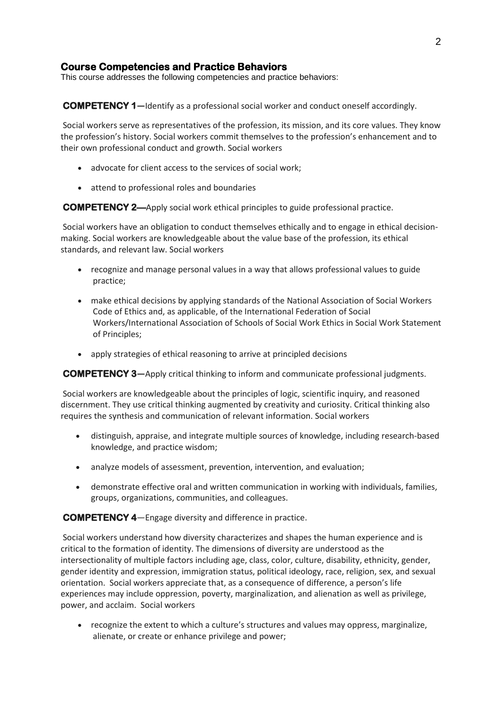## **Course Competencies and Practice Behaviors**

This course addresses the following competencies and practice behaviors:

**COMPETENCY 1—**Identify as a professional social worker and conduct oneself accordingly.

Social workers serve as representatives of the profession, its mission, and its core values. They know the profession's history. Social workers commit themselves to the profession's enhancement and to their own professional conduct and growth. Social workers

- advocate for client access to the services of social work;
- attend to professional roles and boundaries

**COMPETENCY 2—**Apply social work ethical principles to guide professional practice.

Social workers have an obligation to conduct themselves ethically and to engage in ethical decisionmaking. Social workers are knowledgeable about the value base of the profession, its ethical standards, and relevant law. Social workers

- recognize and manage personal values in a way that allows professional values to guide practice;
- make ethical decisions by applying standards of the National Association of Social Workers Code of Ethics and, as applicable, of the International Federation of Social Workers/International Association of Schools of Social Work Ethics in Social Work Statement of Principles;
- apply strategies of ethical reasoning to arrive at principled decisions

**COMPETENCY 3—**Apply critical thinking to inform and communicate professional judgments.

Social workers are knowledgeable about the principles of logic, scientific inquiry, and reasoned discernment. They use critical thinking augmented by creativity and curiosity. Critical thinking also requires the synthesis and communication of relevant information. Social workers

- distinguish, appraise, and integrate multiple sources of knowledge, including research-based knowledge, and practice wisdom;
- analyze models of assessment, prevention, intervention, and evaluation;
- demonstrate effective oral and written communication in working with individuals, families, groups, organizations, communities, and colleagues.

**COMPETENCY 4**—Engage diversity and difference in practice.

Social workers understand how diversity characterizes and shapes the human experience and is critical to the formation of identity. The dimensions of diversity are understood as the intersectionality of multiple factors including age, class, color, culture, disability, ethnicity, gender, gender identity and expression, immigration status, political ideology, race, religion, sex, and sexual orientation. Social workers appreciate that, as a consequence of difference, a person's life experiences may include oppression, poverty, marginalization, and alienation as well as privilege, power, and acclaim. Social workers

• recognize the extent to which a culture's structures and values may oppress, marginalize, alienate, or create or enhance privilege and power;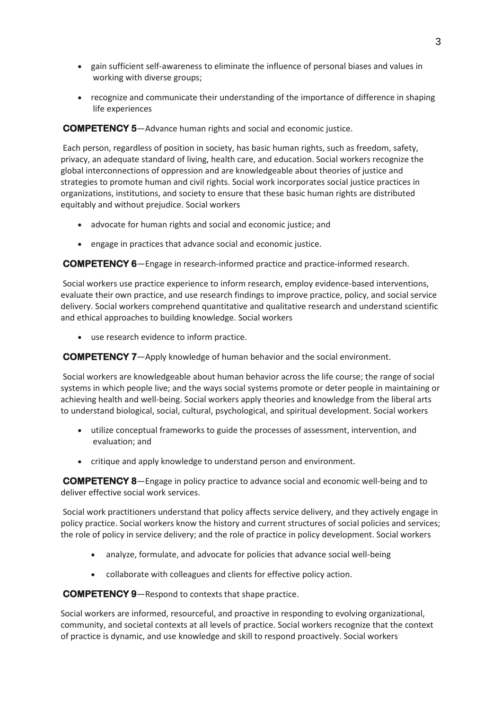- gain sufficient self-awareness to eliminate the influence of personal biases and values in working with diverse groups;
- recognize and communicate their understanding of the importance of difference in shaping life experiences

**COMPETENCY 5**—Advance human rights and social and economic justice.

Each person, regardless of position in society, has basic human rights, such as freedom, safety, privacy, an adequate standard of living, health care, and education. Social workers recognize the global interconnections of oppression and are knowledgeable about theories of justice and strategies to promote human and civil rights. Social work incorporates social justice practices in organizations, institutions, and society to ensure that these basic human rights are distributed equitably and without prejudice. Social workers

- advocate for human rights and social and economic justice; and
- engage in practices that advance social and economic justice.

**COMPETENCY 6**—Engage in research-informed practice and practice-informed research.

Social workers use practice experience to inform research, employ evidence-based interventions, evaluate their own practice, and use research findings to improve practice, policy, and social service delivery. Social workers comprehend quantitative and qualitative research and understand scientific and ethical approaches to building knowledge. Social workers

• use research evidence to inform practice.

**COMPETENCY 7**—Apply knowledge of human behavior and the social environment.

Social workers are knowledgeable about human behavior across the life course; the range of social systems in which people live; and the ways social systems promote or deter people in maintaining or achieving health and well-being. Social workers apply theories and knowledge from the liberal arts to understand biological, social, cultural, psychological, and spiritual development. Social workers

- utilize conceptual frameworks to guide the processes of assessment, intervention, and evaluation; and
- critique and apply knowledge to understand person and environment.

**COMPETENCY 8**—Engage in policy practice to advance social and economic well-being and to deliver effective social work services.

Social work practitioners understand that policy affects service delivery, and they actively engage in policy practice. Social workers know the history and current structures of social policies and services; the role of policy in service delivery; and the role of practice in policy development. Social workers

- analyze, formulate, and advocate for policies that advance social well-being
- collaborate with colleagues and clients for effective policy action.

**COMPETENCY 9**—Respond to contexts that shape practice.

Social workers are informed, resourceful, and proactive in responding to evolving organizational, community, and societal contexts at all levels of practice. Social workers recognize that the context of practice is dynamic, and use knowledge and skill to respond proactively. Social workers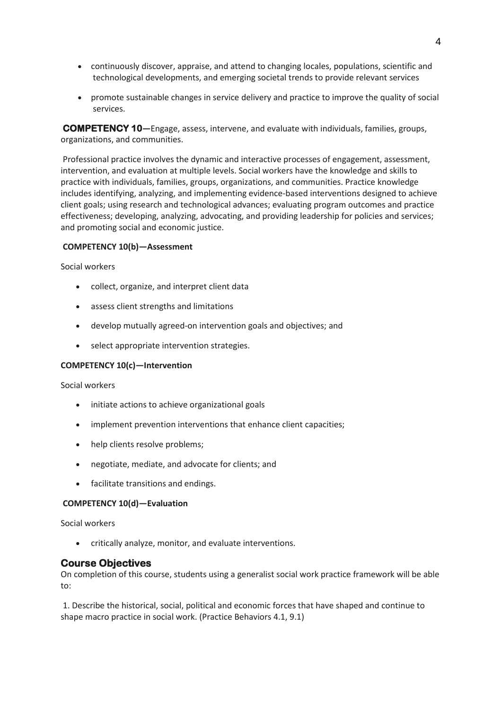- continuously discover, appraise, and attend to changing locales, populations, scientific and technological developments, and emerging societal trends to provide relevant services
- promote sustainable changes in service delivery and practice to improve the quality of social services.

**COMPETENCY 10—**Engage, assess, intervene, and evaluate with individuals, families, groups, organizations, and communities.

Professional practice involves the dynamic and interactive processes of engagement, assessment, intervention, and evaluation at multiple levels. Social workers have the knowledge and skills to practice with individuals, families, groups, organizations, and communities. Practice knowledge includes identifying, analyzing, and implementing evidence-based interventions designed to achieve client goals; using research and technological advances; evaluating program outcomes and practice effectiveness; developing, analyzing, advocating, and providing leadership for policies and services; and promoting social and economic justice.

#### **COMPETENCY 10(b)—Assessment**

Social workers

- collect, organize, and interpret client data
- assess client strengths and limitations
- develop mutually agreed-on intervention goals and objectives; and
- select appropriate intervention strategies.

#### **COMPETENCY 10(c)—Intervention**

Social workers

- initiate actions to achieve organizational goals
- implement prevention interventions that enhance client capacities;
- help clients resolve problems;
- negotiate, mediate, and advocate for clients; and
- facilitate transitions and endings.

#### **COMPETENCY 10(d)—Evaluation**

Social workers

• critically analyze, monitor, and evaluate interventions.

#### **Course Objectives**

On completion of this course, students using a generalist social work practice framework will be able to:

1. Describe the historical, social, political and economic forces that have shaped and continue to shape macro practice in social work. (Practice Behaviors 4.1, 9.1)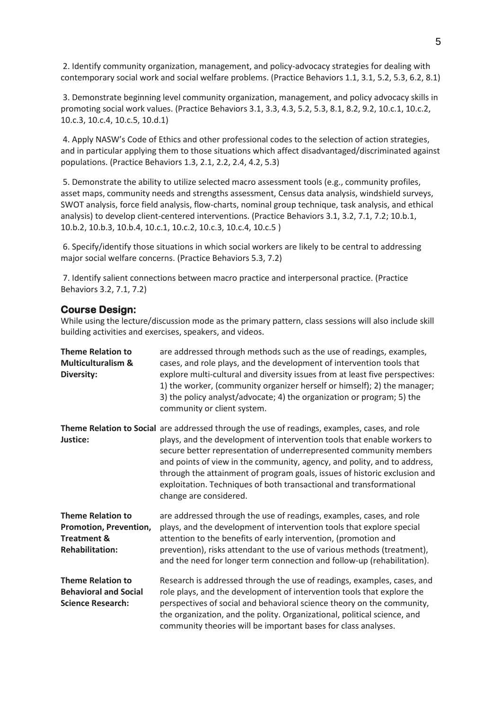2. Identify community organization, management, and policy-advocacy strategies for dealing with contemporary social work and social welfare problems. (Practice Behaviors 1.1, 3.1, 5.2, 5.3, 6.2, 8.1)

3. Demonstrate beginning level community organization, management, and policy advocacy skills in promoting social work values. (Practice Behaviors 3.1, 3.3, 4.3, 5.2, 5.3, 8.1, 8.2, 9.2, 10.c.1, 10.c.2, 10.c.3, 10.c.4, 10.c.5, 10.d.1)

4. Apply NASW's Code of Ethics and other professional codes to the selection of action strategies, and in particular applying them to those situations which affect disadvantaged/discriminated against populations. (Practice Behaviors 1.3, 2.1, 2.2, 2.4, 4.2, 5.3)

5. Demonstrate the ability to utilize selected macro assessment tools (e.g., community profiles, asset maps, community needs and strengths assessment, Census data analysis, windshield surveys, SWOT analysis, force field analysis, flow-charts, nominal group technique, task analysis, and ethical analysis) to develop client-centered interventions. (Practice Behaviors 3.1, 3.2, 7.1, 7.2; 10.b.1, 10.b.2, 10.b.3, 10.b.4, 10.c.1, 10.c.2, 10.c.3, 10.c.4, 10.c.5 )

6. Specify/identify those situations in which social workers are likely to be central to addressing major social welfare concerns. (Practice Behaviors 5.3, 7.2)

7. Identify salient connections between macro practice and interpersonal practice. (Practice Behaviors 3.2, 7.1, 7.2)

## **Course Design:**

While using the lecture/discussion mode as the primary pattern, class sessions will also include skill building activities and exercises, speakers, and videos.

| <b>Theme Relation to</b><br><b>Multiculturalism &amp;</b><br>Diversity:                                | are addressed through methods such as the use of readings, examples,<br>cases, and role plays, and the development of intervention tools that<br>explore multi-cultural and diversity issues from at least five perspectives:<br>1) the worker, (community organizer herself or himself); 2) the manager;<br>3) the policy analyst/advocate; 4) the organization or program; 5) the<br>community or client system.                                                                                       |  |  |  |  |
|--------------------------------------------------------------------------------------------------------|----------------------------------------------------------------------------------------------------------------------------------------------------------------------------------------------------------------------------------------------------------------------------------------------------------------------------------------------------------------------------------------------------------------------------------------------------------------------------------------------------------|--|--|--|--|
| Justice:                                                                                               | Theme Relation to Social are addressed through the use of readings, examples, cases, and role<br>plays, and the development of intervention tools that enable workers to<br>secure better representation of underrepresented community members<br>and points of view in the community, agency, and polity, and to address,<br>through the attainment of program goals, issues of historic exclusion and<br>exploitation. Techniques of both transactional and transformational<br>change are considered. |  |  |  |  |
| <b>Theme Relation to</b><br>Promotion, Prevention,<br><b>Treatment &amp;</b><br><b>Rehabilitation:</b> | are addressed through the use of readings, examples, cases, and role<br>plays, and the development of intervention tools that explore special<br>attention to the benefits of early intervention, (promotion and<br>prevention), risks attendant to the use of various methods (treatment),<br>and the need for longer term connection and follow-up (rehabilitation).                                                                                                                                   |  |  |  |  |
| <b>Theme Relation to</b><br><b>Behavioral and Social</b><br><b>Science Research:</b>                   | Research is addressed through the use of readings, examples, cases, and<br>role plays, and the development of intervention tools that explore the<br>perspectives of social and behavioral science theory on the community,<br>the organization, and the polity. Organizational, political science, and<br>community theories will be important bases for class analyses.                                                                                                                                |  |  |  |  |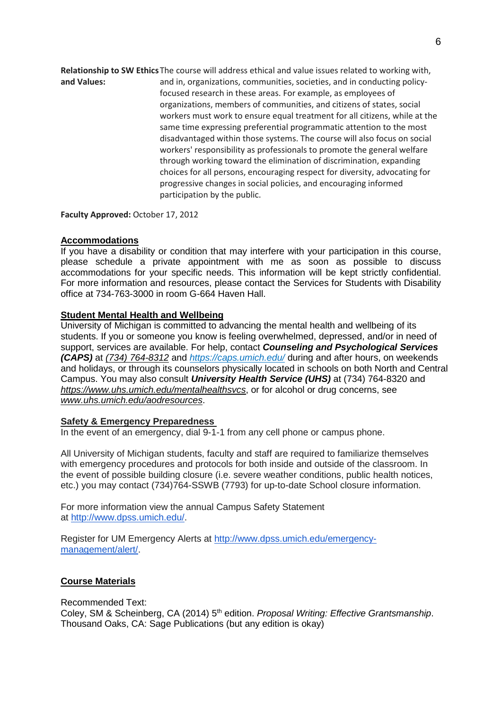Relationship to SW Ethics The course will address ethical and value issues related to working with, **and Values:** and in, organizations, communities, societies, and in conducting policyfocused research in these areas. For example, as employees of organizations, members of communities, and citizens of states, social workers must work to ensure equal treatment for all citizens, while at the same time expressing preferential programmatic attention to the most disadvantaged within those systems. The course will also focus on social workers' responsibility as professionals to promote the general welfare through working toward the elimination of discrimination, expanding choices for all persons, encouraging respect for diversity, advocating for progressive changes in social policies, and encouraging informed participation by the public.

**Faculty Approved:** October 17, 2012

#### **Accommodations**

If you have a disability or condition that may interfere with your participation in this course, please schedule a private appointment with me as soon as possible to discuss accommodations for your specific needs. This information will be kept strictly confidential. For more information and resources, please contact the Services for Students with Disability office at 734-763-3000 in room G-664 Haven Hall.

## **Student Mental Health and Wellbeing**

University of Michigan is committed to advancing the mental health and wellbeing of its students. If you or someone you know is feeling overwhelmed, depressed, and/or in need of support, services are available. For help, contact *Counseling and Psychological Services (CAPS)* at *[\(734\) 764-8312](tel:%28734%29%20764-8312)* and *[https://caps.umich.edu/](http://click.actionnetwork.org/mpss/c/6QA/ni0YAA/t.1sr/1XmDlirLSRy_10hmMBXGig/h0/jbPE8mifOYh9ZTFY4-2F4ex1AMj27YruYwCuFs-2FGEWlDkJBrUWruTFLccdvUjy0vPoz7TIt5UYalwpJeNFW9ye-2BIp5R3md2SU3JYbg-2FdmJuuWvNJvBFbq1xeTIrHHOJB3X3bufiiUOWLL9ZHqr2zq4QM4Ma8dKHgWdNSwROmBvgY0PcvJ5urLlWH857M6ljJh5bBKLgGN4OZ8qZ7ZFkB9h761J7T0Qzyr0DoA3rqZETQE0TyQX4mp0bGEmzFhyYa8nFwXwOSW-2BusxFVrfAneO1Qw-3D-3D)* during and after hours, on weekends and holidays, or through its counselors physically located in schools on both North and Central Campus. You may also consult *University Health Service (UHS)* at (734) 764-8320 and *[https://www.uhs.umich.edu/mentalhealthsvcs](http://click.actionnetwork.org/mpss/c/6QA/ni0YAA/t.1sr/1XmDlirLSRy_10hmMBXGig/h1/36Gq4-2F3niUnzPyyRf-2BAOrtZp9EUXw4VV93TeV2pngezLaxone85BdNKXn1g2Jx-2FuLbxguPJoRbLrmKMTu5lHlJKwMYjs6fAxXOISO2fsyF6-2BoxQoXHPVy3G0xVvONVrq7xLVbBZIkCzVf0lVl3vJ-2FTq-2B-2B84YqfMV8-2FwzqnFfNZaUUowypesNiEkC3YuMvS3naLARXEaHj60APoYb-2FGvFTFKfzO1UE8uXprEtwY5ygxcVxnYHPFRwdW54rgLJfXLWQGeD1NgqbF7MGU5ue1upLrSkmo0BUuI7h38KoR7Nn5c-3D)*, or for alcohol or drug concerns, see *[www.uhs.umich.edu/aodresources](http://click.actionnetwork.org/mpss/c/6QA/ni0YAA/t.1sr/1XmDlirLSRy_10hmMBXGig/h2/oP32kiuHXvNwJ-2BGou1c-2F3FQapQ5bx-2FfCisCI31j2zY1Kl-2F0BglKFayy-2FeehPLu2WVKKMSh-2FvjcCHoE0aG-2B9PEgArEqYHyMB9DPHKPQiuaiFMjrx1evAp2FnciSDUTNzP1hea3oZD45D-2BnxFSfQqt0j-2BbLhbolWNIuUbKonXT7Ww1TRAM9tTJ0D7HRk-2Fng0Hj-2FUwz3yLyneEOGHKA1zd5mBLaKbHXo9DRisUlgkm34D6QCIbYsa8hV66Mq30kShylQANPRuYp4WHw5l-2F-2FGdFTQS3WK-2F6z-2Bh1khKI-2BNSyR5WM-3D)*.

#### **Safety & Emergency Preparedness**

In the event of an emergency, dial 9-1-1 from any cell phone or campus phone.

All University of Michigan students, faculty and staff are required to familiarize themselves with emergency procedures and protocols for both inside and outside of the classroom. In the event of possible building closure (i.e. severe weather conditions, public health notices, etc.) you may contact (734)764-SSWB (7793) for up-to-date School closure information.

For more information view the annual Campus Safety Statement at [http://www.dpss.umich.edu/.](http://www.dpss.umich.edu/)

Register for UM Emergency Alerts at [http://www.dpss.umich.edu/emergency](http://www.dpss.umich.edu/emergency-management/alert/)[management/alert/.](http://www.dpss.umich.edu/emergency-management/alert/)

## **Course Materials**

Recommended Text: Coley, SM & Scheinberg, CA (2014) 5th edition. *Proposal Writing: Effective Grantsmanship*. Thousand Oaks, CA: Sage Publications (but any edition is okay)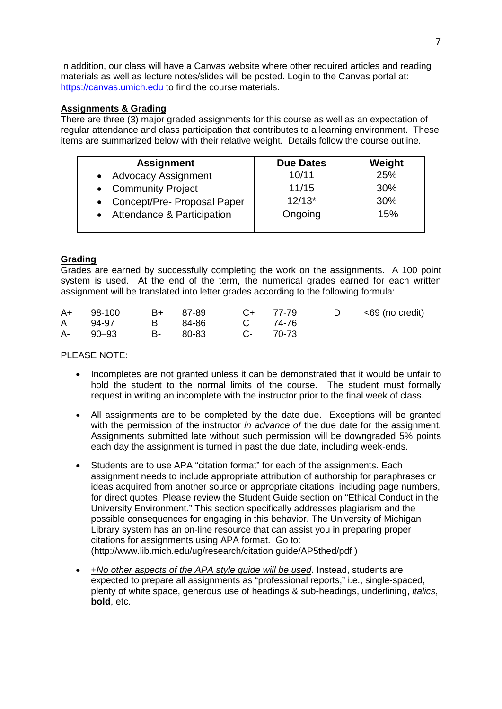In addition, our class will have a Canvas website where other required articles and reading materials as well as lecture notes/slides will be posted. Login to the Canvas portal at: https://canvas.umich.edu to find the course materials.

## **Assignments & Grading**

There are three (3) major graded assignments for this course as well as an expectation of regular attendance and class participation that contributes to a learning environment. These items are summarized below with their relative weight. Details follow the course outline.

| <b>Assignment</b>            | <b>Due Dates</b> | Weight |
|------------------------------|------------------|--------|
| • Advocacy Assignment        | 10/11            | 25%    |
| • Community Project          | 11/15            | 30%    |
| Concept/Pre- Proposal Paper  | $12/13*$         | 30%    |
| • Attendance & Participation | Ongoing          | 15%    |

## **Grading**

Grades are earned by successfully completing the work on the assignments. A 100 point system is used. At the end of the term, the numerical grades earned for each written assignment will be translated into letter grades according to the following formula:

|                            |  |  | A+ 98-100 B+ 87-89 C+ 77-79 D <69 (no credit) |
|----------------------------|--|--|-----------------------------------------------|
| A 94-97 B 84-86 C 74-76    |  |  |                                               |
| A- 90–93 B- 80-83 C- 70-73 |  |  |                                               |

## PLEASE NOTE:

- Incompletes are not granted unless it can be demonstrated that it would be unfair to hold the student to the normal limits of the course. The student must formally request in writing an incomplete with the instructor prior to the final week of class.
- All assignments are to be completed by the date due. Exceptions will be granted with the permission of the instructor *in advance of* the due date for the assignment. Assignments submitted late without such permission will be downgraded 5% points each day the assignment is turned in past the due date, including week-ends.
- Students are to use APA "citation format" for each of the assignments. Each assignment needs to include appropriate attribution of authorship for paraphrases or ideas acquired from another source or appropriate citations, including page numbers, for direct quotes. Please review the Student Guide section on "Ethical Conduct in the University Environment." This section specifically addresses plagiarism and the possible consequences for engaging in this behavior. The University of Michigan Library system has an on-line resource that can assist you in preparing proper citations for assignments using APA format. Go to: (http://www.lib.mich.edu/ug/research/citation guide/AP5thed/pdf )
- *+No other aspects of the APA style guide will be used*. Instead, students are expected to prepare all assignments as "professional reports," i.e., single-spaced, plenty of white space, generous use of headings & sub-headings, underlining, *italics*, **bold**, etc.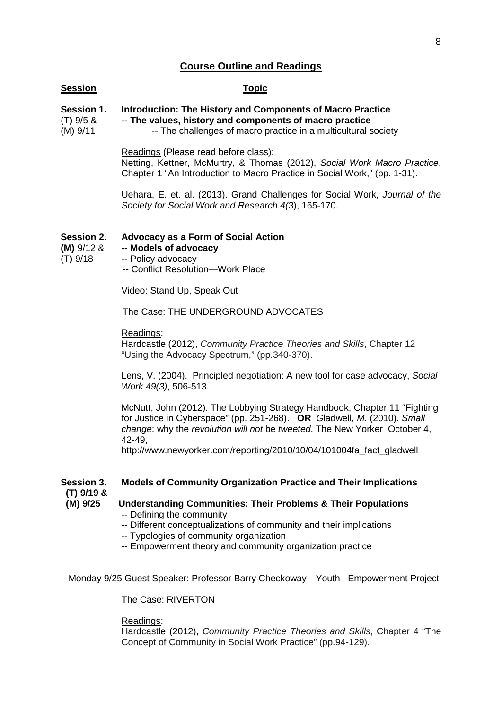## **Course Outline and Readings**

#### **Session Topic**

## **Session 1. Introduction: The History and Components of Macro Practice**<br>(T)  $9/5$  & -- The values, history and components of macro practice

(T) 9/5 & **-- The values, history and components of macro practice**

-- The challenges of macro practice in a multicultural society

Readings (Please read before class):

Netting, Kettner, McMurtry, & Thomas (2012), *Social Work Macro Practice*, Chapter 1 "An Introduction to Macro Practice in Social Work," (pp. 1-31).

Uehara, E. et. al. (2013). Grand Challenges for Social Work, *Journal of the Society for Social Work and Research 4(*3), 165-170.

#### **Session 2. Advocacy as a Form of Social Action**

- **(M)** 9/12 & **-- Models of advocacy** (T) 9/18 -- Policy advocacy
	- -- Conflict Resolution—Work Place

Video: Stand Up, Speak Out

The Case: THE UNDERGROUND ADVOCATES

#### Readings:

Hardcastle (2012), *Community Practice Theories and Skills*, Chapter 12 "Using the Advocacy Spectrum," (pp.340-370).

Lens, V. (2004). Principled negotiation: A new tool for case advocacy, *Social Work 49(3)*, 506-513.

McNutt, John (2012). The Lobbying Strategy Handbook, Chapter 11 "Fighting for Justice in Cyberspace" (pp. 251-268). **OR** *G*ladwell*, M.* (2010). *Small change*: why the *revolution will not* be *tweeted*. The New Yorker October 4, 42-49,

[http://www.newyorker.com/reporting/2010/10/04/101004fa\\_fact\\_gladwell](http://www.newyorker.com/reporting/2010/10/04/101004fa_fact_gladwell)

#### **Session 3. Models of Community Organization Practice and Their Implications (T) 9/19 &**

#### **(M) 9/25 Understanding Communities: Their Problems & Their Populations** -- Defining the community

- -- Different conceptualizations of community and their implications
- -- Typologies of community organization
- -- Empowerment theory and community organization practice

Monday 9/25 Guest Speaker: Professor Barry Checkoway—Youth Empowerment Project

The Case: RIVERTON

#### Readings:

Hardcastle (2012), *Community Practice Theories and Skills*, Chapter 4 "The Concept of Community in Social Work Practice" (pp.94-129).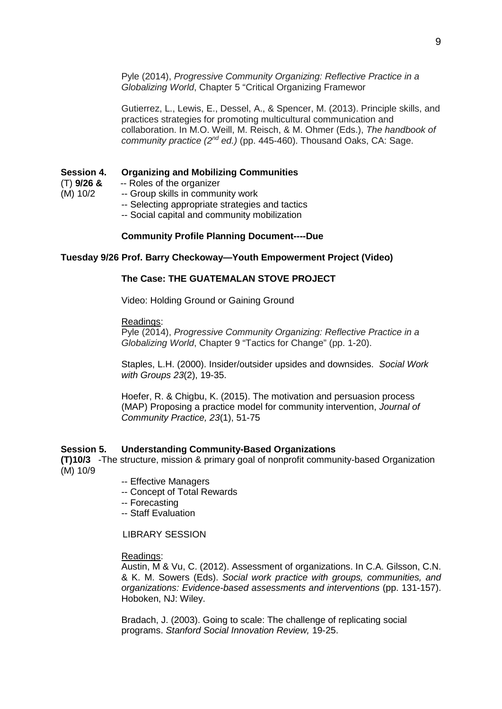Pyle (2014), *Progressive Community Organizing: Reflective Practice in a Globalizing World*, Chapter 5 "Critical Organizing Framewor

Gutierrez, L., Lewis, E., Dessel, A., & Spencer, M. (2013). Principle skills, and practices strategies for promoting multicultural communication and collaboration. In M.O. Weill, M. Reisch, & M. Ohmer (Eds.), *The handbook of community practice (2nd ed.)* (pp. 445-460). Thousand Oaks, CA: Sage.

# **Session 4. Organizing and Mobilizing Communities**<br>(T) **9/26 &** -- Roles of the organizer

(T) **9/26 &** -- Roles of the organizer

- -- Group skills in community work
- -- Selecting appropriate strategies and tactics
- -- Social capital and community mobilization

#### **Community Profile Planning Document----Due**

#### **Tuesday 9/26 Prof. Barry Checkoway—Youth Empowerment Project (Video)**

#### **The Case: THE GUATEMALAN STOVE PROJECT**

Video: Holding Ground or Gaining Ground

Readings:

Pyle (2014), *Progressive Community Organizing: Reflective Practice in a Globalizing World*, Chapter 9 "Tactics for Change" (pp. 1-20).

Staples, L.H. (2000). Insider/outsider upsides and downsides. *Social Work with Groups 23*(2), 19-35.

Hoefer, R. & Chigbu, K. (2015). The motivation and persuasion process (MAP) Proposing a practice model for community intervention, *Journal of Community Practice, 23*(1), 51-75

#### **Session 5. Understanding Community-Based Organizations**

**(T)10/3** -The structure, mission & primary goal of nonprofit community-based Organization (M) 10/9

- -- Effective Managers
- -- Concept of Total Rewards
- -- Forecasting
- -- Staff Evaluation

## LIBRARY SESSION

Readings:

Austin, M & Vu, C. (2012). Assessment of organizations. In C.A. Gilsson, C.N. & K. M. Sowers (Eds). *Social work practice with groups, communities, and organizations: Evidence-based assessments and interventions* (pp. 131-157). Hoboken, NJ: Wiley.

Bradach, J. (2003). Going to scale: The challenge of replicating social programs. *Stanford Social Innovation Review,* 19-25.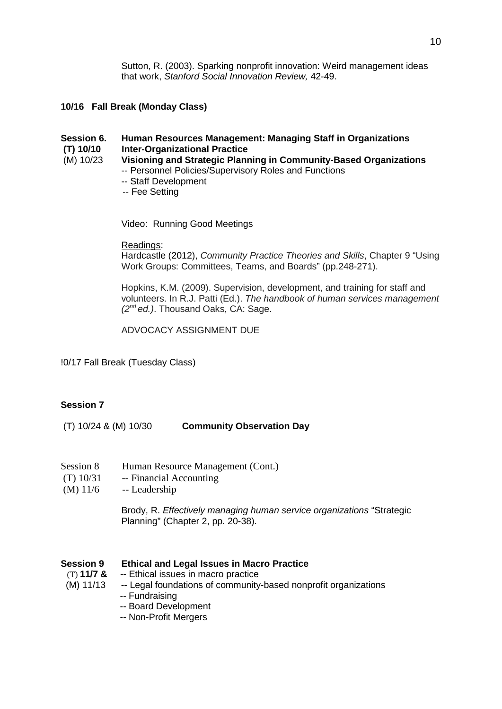Sutton, R. (2003). Sparking nonprofit innovation: Weird management ideas that work, *Stanford Social Innovation Review,* 42-49.

## **10/16 Fall Break (Monday Class)**

## **Session 6. Human Resources Management: Managing Staff in Organizations (T) 10/10 Inter-Organizational Practice (M) 10/23 Visioning and Strategic Planr Visioning and Strategic Planning in Community-Based Organizations** -- Personnel Policies/Supervisory Roles and Functions -- Staff Development

-- Fee Setting

Video: Running Good Meetings

#### Readings:

Hardcastle (2012), *Community Practice Theories and Skills*, Chapter 9 "Using Work Groups: Committees, Teams, and Boards" (pp.248-271).

Hopkins, K.M. (2009). Supervision, development, and training for staff and volunteers. In R.J. Patti (Ed.). *The handbook of human services management (2nd ed.)*. Thousand Oaks, CA: Sage.

ADVOCACY ASSIGNMENT DUE

!0/17 Fall Break (Tuesday Class)

### **Session 7**

- (T) 10/24 & (M) 10/30 **Community Observation Day**
- Session 8 Human Resource Management (Cont.)
- (T) 10/31 -- Financial Accounting
- $(M)$  11/6 -- Leadership

Brody, R. *Effectively managing human service organizations* "Strategic Planning" (Chapter 2, pp. 20-38).

## **Session 9 Ethical and Legal Issues in Macro Practice**

- (T) **11/7 &** -- Ethical issues in macro practice
- (M) 11/13 -- Legal foundations of community-based nonprofit organizations
	- -- Fundraising
	- -- Board Development
	- -- Non-Profit Mergers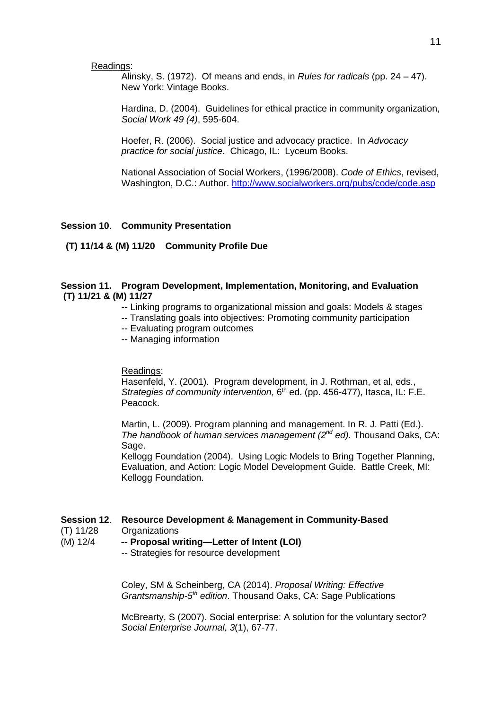#### Readings:

Alinsky, S. (1972). Of means and ends, in *Rules for radicals* (pp. 24 – 47). New York: Vintage Books.

Hardina, D. (2004). Guidelines for ethical practice in community organization, *Social Work 49 (4)*, 595-604.

Hoefer, R. (2006). Social justice and advocacy practice. In *Advocacy practice for social justice*. Chicago, IL: Lyceum Books.

National Association of Social Workers, (1996/2008). *Code of Ethics*, revised, Washington, D.C.: Author.<http://www.socialworkers.org/pubs/code/code.asp>

#### **Session 10**. **Community Presentation**

 **(T) 11/14 & (M) 11/20 Community Profile Due**

## **Session 11. Program Development, Implementation, Monitoring, and Evaluation (T) 11/21 & (M) 11/27**

- -- Linking programs to organizational mission and goals: Models & stages
- -- Translating goals into objectives: Promoting community participation
- -- Evaluating program outcomes
- -- Managing information

#### Readings:

Hasenfeld, Y. (2001). Program development, in J. Rothman, et al, eds., *Strategies of community intervention*, 6th ed. (pp. 456-477), Itasca, IL: F.E. Peacock.

Martin, L. (2009). Program planning and management. In R. J. Patti (Ed.). *The handbook of human services management (2nd ed).* Thousand Oaks, CA: Sage.

Kellogg Foundation (2004). Using Logic Models to Bring Together Planning, Evaluation, and Action: Logic Model Development Guide. Battle Creek, MI: Kellogg Foundation.

## **Session 12**. **Resource Development & Management in Community-Based**

(T) 11/28 Organizations

- (M) 12/4 **-- Proposal writing—Letter of Intent (LOI)**
	- -- Strategies for resource development

Coley, SM & Scheinberg, CA (2014). *Proposal Writing: Effective Grantsmanship-5th edition*. Thousand Oaks, CA: Sage Publications

McBrearty, S (2007). Social enterprise: A solution for the voluntary sector? *Social Enterprise Journal, 3*(1), 67-77.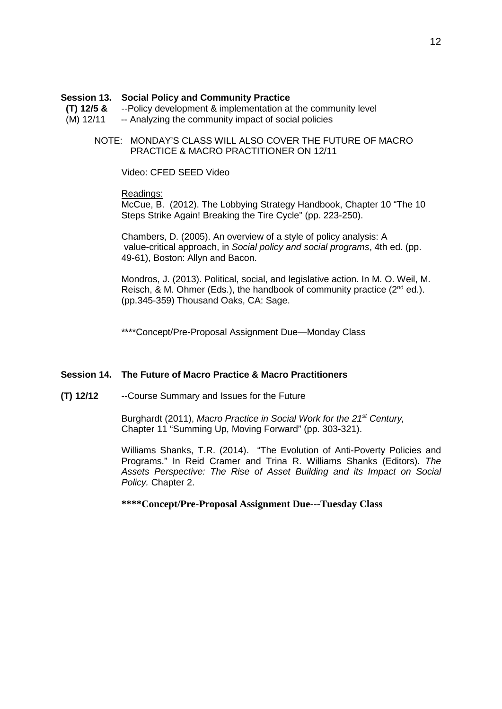# **Session 13. Social Policy and Community Practice**<br>(T) 12/5 & --Policy development & implementation at

- **(T) 12/5 &** --Policy development & implementation at the community level
- -- Analyzing the community impact of social policies
	- NOTE: MONDAY'S CLASS WILL ALSO COVER THE FUTURE OF MACRO PRACTICE & MACRO PRACTITIONER ON 12/11

Video: CFED SEED Video

Readings:

McCue, B. (2012). The Lobbying Strategy Handbook, Chapter 10 "The 10 Steps Strike Again! Breaking the Tire Cycle" (pp. 223-250).

Chambers, D. (2005). An overview of a style of policy analysis: A value-critical approach, in *Social policy and social programs*, 4th ed. (pp. 49-61), Boston: Allyn and Bacon.

Mondros, J. (2013). Political, social, and legislative action. In M. O. Weil, M. Reisch, & M. Ohmer (Eds.), the handbook of community practice  $(2^{nd}$  ed.). (pp.345-359) Thousand Oaks, CA: Sage.

\*\*\*\*Concept/Pre-Proposal Assignment Due—Monday Class

## **Session 14. The Future of Macro Practice & Macro Practitioners**

## **(T) 12/12** --Course Summary and Issues for the Future

Burghardt (2011), *Macro Practice in Social Work for the 21st Century,*  Chapter 11 "Summing Up, Moving Forward" (pp. 303-321).

Williams Shanks, T.R. (2014). "The Evolution of Anti-Poverty Policies and Programs." In Reid Cramer and Trina R. Williams Shanks (Editors). *The Assets Perspective: The Rise of Asset Building and its Impact on Social Policy.* Chapter 2.

**\*\*\*\*Concept/Pre-Proposal Assignment Due---Tuesday Class**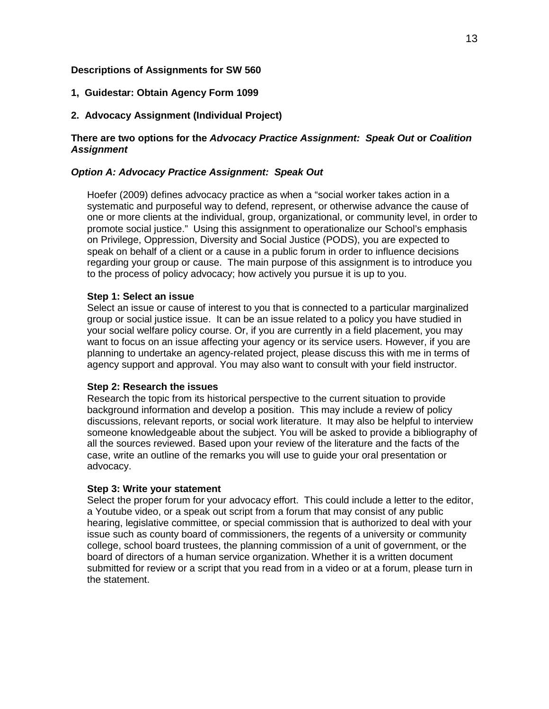## **Descriptions of Assignments for SW 560**

- **1, Guidestar: Obtain Agency Form 1099**
- **2. Advocacy Assignment (Individual Project)**

## **There are two options for the** *Advocacy Practice Assignment: Speak Out* **or** *Coalition Assignment*

## *Option A: Advocacy Practice Assignment: Speak Out*

Hoefer (2009) defines advocacy practice as when a "social worker takes action in a systematic and purposeful way to defend, represent, or otherwise advance the cause of one or more clients at the individual, group, organizational, or community level, in order to promote social justice." Using this assignment to operationalize our School's emphasis on Privilege, Oppression, Diversity and Social Justice (PODS), you are expected to speak on behalf of a client or a cause in a public forum in order to influence decisions regarding your group or cause. The main purpose of this assignment is to introduce you to the process of policy advocacy; how actively you pursue it is up to you.

## **Step 1: Select an issue**

Select an issue or cause of interest to you that is connected to a particular marginalized group or social justice issue. It can be an issue related to a policy you have studied in your social welfare policy course. Or, if you are currently in a field placement, you may want to focus on an issue affecting your agency or its service users. However, if you are planning to undertake an agency-related project, please discuss this with me in terms of agency support and approval. You may also want to consult with your field instructor.

## **Step 2: Research the issues**

Research the topic from its historical perspective to the current situation to provide background information and develop a position. This may include a review of policy discussions, relevant reports, or social work literature. It may also be helpful to interview someone knowledgeable about the subject. You will be asked to provide a bibliography of all the sources reviewed. Based upon your review of the literature and the facts of the case, write an outline of the remarks you will use to guide your oral presentation or advocacy.

#### **Step 3: Write your statement**

Select the proper forum for your advocacy effort. This could include a letter to the editor, a Youtube video, or a speak out script from a forum that may consist of any public hearing, legislative committee, or special commission that is authorized to deal with your issue such as county board of commissioners, the regents of a university or community college, school board trustees, the planning commission of a unit of government, or the board of directors of a human service organization. Whether it is a written document submitted for review or a script that you read from in a video or at a forum, please turn in the statement.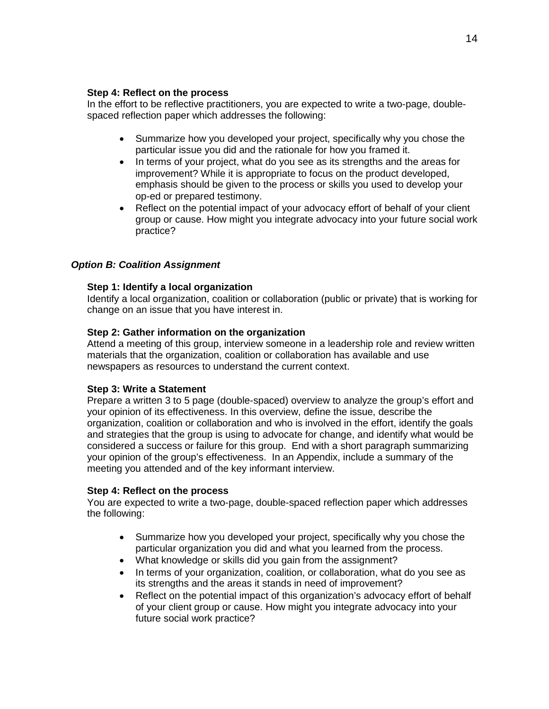## **Step 4: Reflect on the process**

In the effort to be reflective practitioners, you are expected to write a two-page, doublespaced reflection paper which addresses the following:

- Summarize how you developed your project, specifically why you chose the particular issue you did and the rationale for how you framed it.
- In terms of your project, what do you see as its strengths and the areas for improvement? While it is appropriate to focus on the product developed, emphasis should be given to the process or skills you used to develop your op-ed or prepared testimony.
- Reflect on the potential impact of your advocacy effort of behalf of your client group or cause. How might you integrate advocacy into your future social work practice?

## *Option B: Coalition Assignment*

## **Step 1: Identify a local organization**

Identify a local organization, coalition or collaboration (public or private) that is working for change on an issue that you have interest in.

## **Step 2: Gather information on the organization**

Attend a meeting of this group, interview someone in a leadership role and review written materials that the organization, coalition or collaboration has available and use newspapers as resources to understand the current context.

## **Step 3: Write a Statement**

Prepare a written 3 to 5 page (double-spaced) overview to analyze the group's effort and your opinion of its effectiveness. In this overview, define the issue, describe the organization, coalition or collaboration and who is involved in the effort, identify the goals and strategies that the group is using to advocate for change, and identify what would be considered a success or failure for this group. End with a short paragraph summarizing your opinion of the group's effectiveness. In an Appendix, include a summary of the meeting you attended and of the key informant interview.

## **Step 4: Reflect on the process**

You are expected to write a two-page, double-spaced reflection paper which addresses the following:

- Summarize how you developed your project, specifically why you chose the particular organization you did and what you learned from the process.
- What knowledge or skills did you gain from the assignment?
- In terms of your organization, coalition, or collaboration, what do you see as its strengths and the areas it stands in need of improvement?
- Reflect on the potential impact of this organization's advocacy effort of behalf of your client group or cause. How might you integrate advocacy into your future social work practice?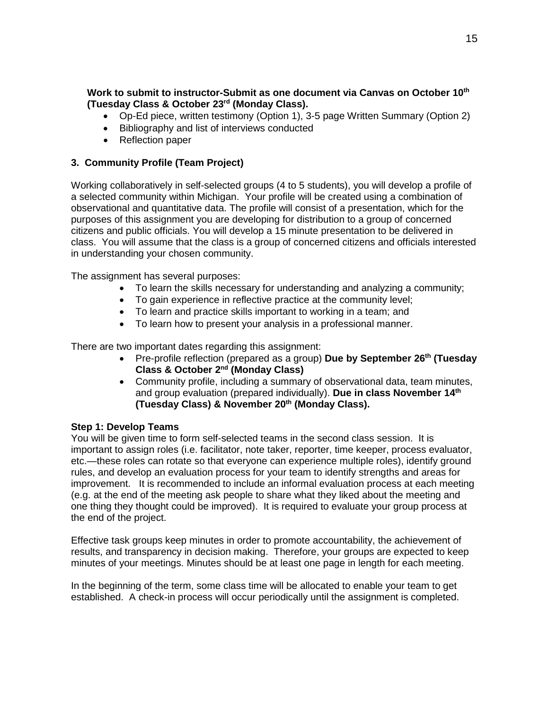## **Work to submit to instructor-Submit as one document via Canvas on October 10th (Tuesday Class & October 23rd (Monday Class).**

- Op-Ed piece, written testimony (Option 1), 3-5 page Written Summary (Option 2)
- Bibliography and list of interviews conducted
- Reflection paper

## **3. Community Profile (Team Project)**

Working collaboratively in self-selected groups (4 to 5 students), you will develop a profile of a selected community within Michigan. Your profile will be created using a combination of observational and quantitative data. The profile will consist of a presentation, which for the purposes of this assignment you are developing for distribution to a group of concerned citizens and public officials. You will develop a 15 minute presentation to be delivered in class. You will assume that the class is a group of concerned citizens and officials interested in understanding your chosen community.

The assignment has several purposes:

- To learn the skills necessary for understanding and analyzing a community;
- To gain experience in reflective practice at the community level;
- To learn and practice skills important to working in a team; and
- To learn how to present your analysis in a professional manner.

There are two important dates regarding this assignment:

- Pre-profile reflection (prepared as a group) **Due by September 26th (Tuesday Class & October 2nd (Monday Class)**
- Community profile, including a summary of observational data, team minutes, and group evaluation (prepared individually). **Due in class November 14th (Tuesday Class) & November 20<sup>th</sup> (Monday Class).**

## **Step 1: Develop Teams**

You will be given time to form self-selected teams in the second class session. It is important to assign roles (i.e. facilitator, note taker, reporter, time keeper, process evaluator, etc.—these roles can rotate so that everyone can experience multiple roles), identify ground rules, and develop an evaluation process for your team to identify strengths and areas for improvement. It is recommended to include an informal evaluation process at each meeting (e.g. at the end of the meeting ask people to share what they liked about the meeting and one thing they thought could be improved). It is required to evaluate your group process at the end of the project.

Effective task groups keep minutes in order to promote accountability, the achievement of results, and transparency in decision making. Therefore, your groups are expected to keep minutes of your meetings. Minutes should be at least one page in length for each meeting.

In the beginning of the term, some class time will be allocated to enable your team to get established. A check-in process will occur periodically until the assignment is completed.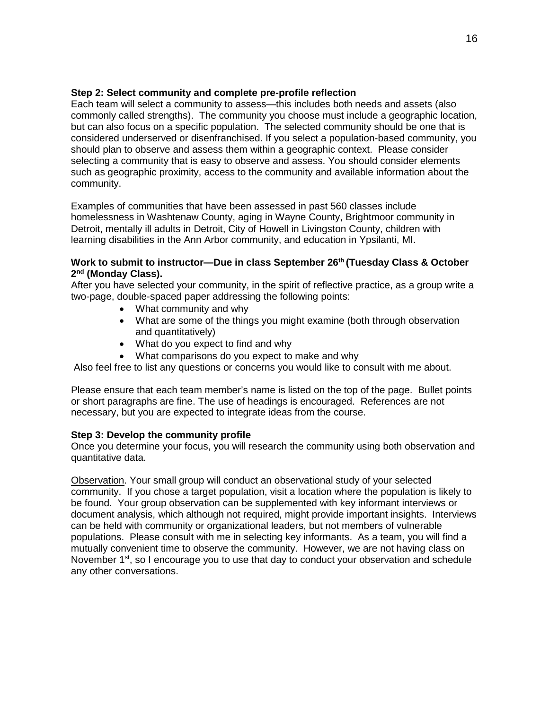## **Step 2: Select community and complete pre-profile reflection**

Each team will select a community to assess—this includes both needs and assets (also commonly called strengths). The community you choose must include a geographic location, but can also focus on a specific population. The selected community should be one that is considered underserved or disenfranchised. If you select a population-based community, you should plan to observe and assess them within a geographic context. Please consider selecting a community that is easy to observe and assess. You should consider elements such as geographic proximity, access to the community and available information about the community.

Examples of communities that have been assessed in past 560 classes include homelessness in Washtenaw County, aging in Wayne County, Brightmoor community in Detroit, mentally ill adults in Detroit, City of Howell in Livingston County, children with learning disabilities in the Ann Arbor community, and education in Ypsilanti, MI.

## **Work to submit to instructor—Due in class September 26th (Tuesday Class & October 2nd (Monday Class).**

After you have selected your community, in the spirit of reflective practice, as a group write a two-page, double-spaced paper addressing the following points:

- What community and why
- What are some of the things you might examine (both through observation and quantitatively)
- What do you expect to find and why
- What comparisons do you expect to make and why

Also feel free to list any questions or concerns you would like to consult with me about.

Please ensure that each team member's name is listed on the top of the page. Bullet points or short paragraphs are fine. The use of headings is encouraged. References are not necessary, but you are expected to integrate ideas from the course.

## **Step 3: Develop the community profile**

Once you determine your focus, you will research the community using both observation and quantitative data.

Observation. Your small group will conduct an observational study of your selected community. If you chose a target population, visit a location where the population is likely to be found. Your group observation can be supplemented with key informant interviews or document analysis, which although not required, might provide important insights. Interviews can be held with community or organizational leaders, but not members of vulnerable populations. Please consult with me in selecting key informants. As a team, you will find a mutually convenient time to observe the community. However, we are not having class on November  $1<sup>st</sup>$ , so I encourage you to use that day to conduct your observation and schedule any other conversations.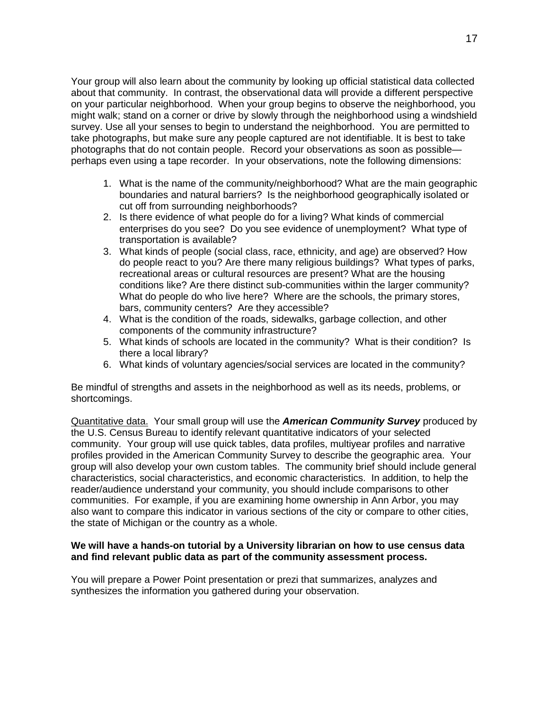Your group will also learn about the community by looking up official statistical data collected about that community. In contrast, the observational data will provide a different perspective on your particular neighborhood. When your group begins to observe the neighborhood, you might walk; stand on a corner or drive by slowly through the neighborhood using a windshield survey. Use all your senses to begin to understand the neighborhood. You are permitted to take photographs, but make sure any people captured are not identifiable. It is best to take photographs that do not contain people. Record your observations as soon as possible perhaps even using a tape recorder. In your observations, note the following dimensions:

- 1. What is the name of the community/neighborhood? What are the main geographic boundaries and natural barriers? Is the neighborhood geographically isolated or cut off from surrounding neighborhoods?
- 2. Is there evidence of what people do for a living? What kinds of commercial enterprises do you see? Do you see evidence of unemployment? What type of transportation is available?
- 3. What kinds of people (social class, race, ethnicity, and age) are observed? How do people react to you? Are there many religious buildings? What types of parks, recreational areas or cultural resources are present? What are the housing conditions like? Are there distinct sub-communities within the larger community? What do people do who live here? Where are the schools, the primary stores, bars, community centers? Are they accessible?
- 4. What is the condition of the roads, sidewalks, garbage collection, and other components of the community infrastructure?
- 5. What kinds of schools are located in the community? What is their condition? Is there a local library?
- 6. What kinds of voluntary agencies/social services are located in the community?

Be mindful of strengths and assets in the neighborhood as well as its needs, problems, or shortcomings.

Quantitative data. Your small group will use the *American Community Survey* produced by the U.S. Census Bureau to identify relevant quantitative indicators of your selected community. Your group will use quick tables, data profiles, multiyear profiles and narrative profiles provided in the American Community Survey to describe the geographic area. Your group will also develop your own custom tables. The community brief should include general characteristics, social characteristics, and economic characteristics. In addition, to help the reader/audience understand your community, you should include comparisons to other communities. For example, if you are examining home ownership in Ann Arbor, you may also want to compare this indicator in various sections of the city or compare to other cities, the state of Michigan or the country as a whole.

## **We will have a hands-on tutorial by a University librarian on how to use census data and find relevant public data as part of the community assessment process.**

You will prepare a Power Point presentation or prezi that summarizes, analyzes and synthesizes the information you gathered during your observation.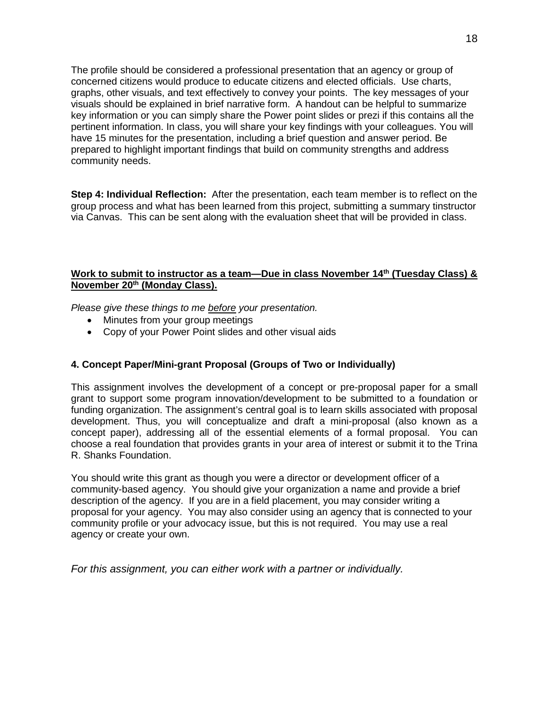The profile should be considered a professional presentation that an agency or group of concerned citizens would produce to educate citizens and elected officials. Use charts, graphs, other visuals, and text effectively to convey your points. The key messages of your visuals should be explained in brief narrative form. A handout can be helpful to summarize key information or you can simply share the Power point slides or prezi if this contains all the pertinent information. In class, you will share your key findings with your colleagues. You will have 15 minutes for the presentation, including a brief question and answer period. Be prepared to highlight important findings that build on community strengths and address community needs.

**Step 4: Individual Reflection:** After the presentation, each team member is to reflect on the group process and what has been learned from this project, submitting a summary tinstructor via Canvas. This can be sent along with the evaluation sheet that will be provided in class.

## **Work to submit to instructor as a team—Due in class November 14th (Tuesday Class) & November 20th (Monday Class).**

*Please give these things to me before your presentation.*

- Minutes from your group meetings
- Copy of your Power Point slides and other visual aids

## **4. Concept Paper/Mini-grant Proposal (Groups of Two or Individually)**

This assignment involves the development of a concept or pre-proposal paper for a small grant to support some program innovation/development to be submitted to a foundation or funding organization. The assignment's central goal is to learn skills associated with proposal development. Thus, you will conceptualize and draft a mini-proposal (also known as a concept paper), addressing all of the essential elements of a formal proposal. You can choose a real foundation that provides grants in your area of interest or submit it to the Trina R. Shanks Foundation.

You should write this grant as though you were a director or development officer of a community-based agency. You should give your organization a name and provide a brief description of the agency. If you are in a field placement, you may consider writing a proposal for your agency. You may also consider using an agency that is connected to your community profile or your advocacy issue, but this is not required. You may use a real agency or create your own.

*For this assignment, you can either work with a partner or individually.*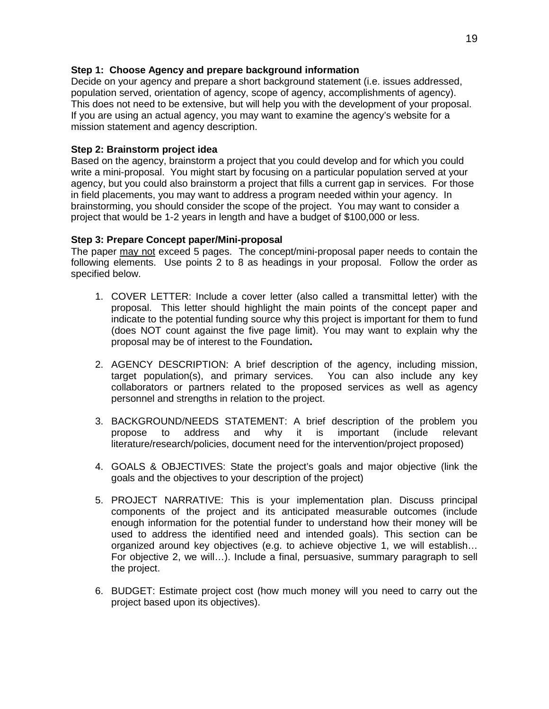## **Step 1: Choose Agency and prepare background information**

Decide on your agency and prepare a short background statement (i.e. issues addressed, population served, orientation of agency, scope of agency, accomplishments of agency). This does not need to be extensive, but will help you with the development of your proposal. If you are using an actual agency, you may want to examine the agency's website for a mission statement and agency description.

## **Step 2: Brainstorm project idea**

Based on the agency, brainstorm a project that you could develop and for which you could write a mini-proposal. You might start by focusing on a particular population served at your agency, but you could also brainstorm a project that fills a current gap in services. For those in field placements, you may want to address a program needed within your agency. In brainstorming, you should consider the scope of the project. You may want to consider a project that would be 1-2 years in length and have a budget of \$100,000 or less.

## **Step 3: Prepare Concept paper/Mini-proposal**

The paper may not exceed 5 pages. The concept/mini-proposal paper needs to contain the following elements. Use points 2 to 8 as headings in your proposal. Follow the order as specified below.

- 1. COVER LETTER: Include a cover letter (also called a transmittal letter) with the proposal. This letter should highlight the main points of the concept paper and indicate to the potential funding source why this project is important for them to fund (does NOT count against the five page limit). You may want to explain why the proposal may be of interest to the Foundation**.**
- 2. AGENCY DESCRIPTION: A brief description of the agency, including mission, target population(s), and primary services. You can also include any key collaborators or partners related to the proposed services as well as agency personnel and strengths in relation to the project.
- 3. BACKGROUND/NEEDS STATEMENT: A brief description of the problem you<br>propose to address and why it is important (include relevant propose to address and why it is important (include relevant literature/research/policies, document need for the intervention/project proposed)
- 4. GOALS & OBJECTIVES: State the project's goals and major objective (link the goals and the objectives to your description of the project)
- 5. PROJECT NARRATIVE: This is your implementation plan. Discuss principal components of the project and its anticipated measurable outcomes (include enough information for the potential funder to understand how their money will be used to address the identified need and intended goals). This section can be organized around key objectives (e.g. to achieve objective 1, we will establish… For objective 2, we will…). Include a final, persuasive, summary paragraph to sell the project.
- 6. BUDGET: Estimate project cost (how much money will you need to carry out the project based upon its objectives).